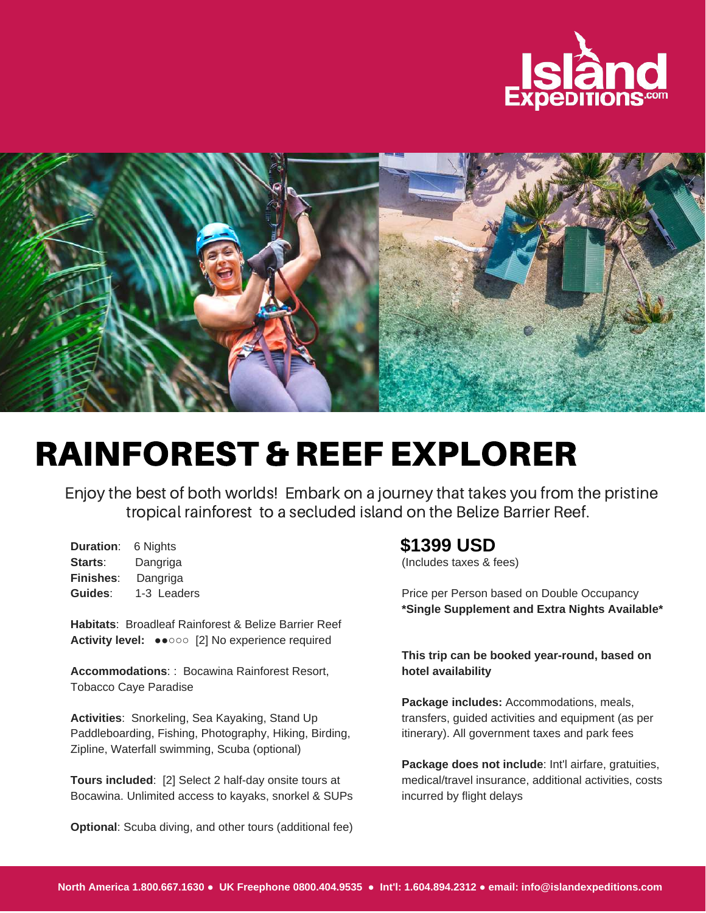



## RAINFOREST & REEF EXPLORER

Enjoy the best of both worlds! Embark on a journey that takes you from the pristine tropical rainforest to a secluded island on the Belize Barrier Reef.

**Duration**: 6 Nights **Starts**: Dangriga **Finishes**: Dangriga **Guides**: 1-3 Leaders

**Habitats**: Broadleaf Rainforest & Belize Barrier Reef **Activity level:** ●●○○○ [2] No experience required

**Accommodations**: : Bocawina Rainforest Resort, Tobacco Caye Paradise

**Activities**: Snorkeling, Sea Kayaking, Stand Up Paddleboarding, Fishing, Photography, Hiking, Birding, Zipline, Waterfall swimming, Scuba (optional)

**Tours included**: [2] Select 2 half-day onsite tours at Bocawina. Unlimited access to kayaks, snorkel & SUPs

**Optional**: Scuba diving, and other tours (additional fee)

## **\$1399 USD**

(Includes taxes & fees)

Price per Person based on Double Occupancy **\*Single Supplement and Extra Nights Available\***

**This trip can be booked year-round, based on hotel availability**

**Package includes:** Accommodations, meals, transfers, guided activities and equipment (as per itinerary). All government taxes and park fees

**Package does not include**: Int'l airfare, gratuities, medical/travel insurance, additional activities, costs incurred by flight delays